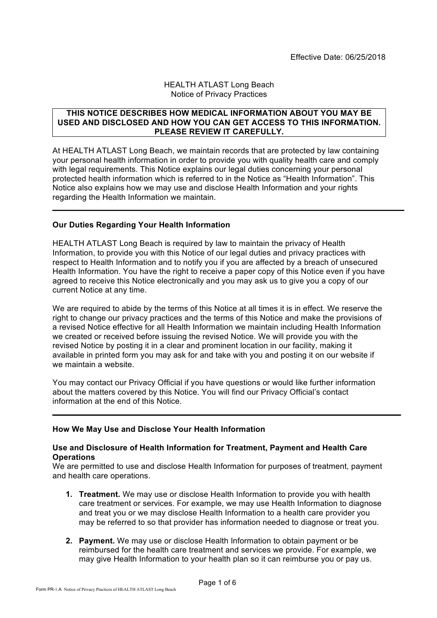### HEALTH ATLAST Long Beach Notice of Privacy Practices

### **THIS NOTICE DESCRIBES HOW MEDICAL INFORMATION ABOUT YOU MAY BE USED AND DISCLOSED AND HOW YOU CAN GET ACCESS TO THIS INFORMATION. PLEASE REVIEW IT CAREFULLY.**

At HEALTH ATLAST Long Beach, we maintain records that are protected by law containing your personal health information in order to provide you with quality health care and comply with legal requirements. This Notice explains our legal duties concerning your personal protected health information which is referred to in the Notice as "Health Information". This Notice also explains how we may use and disclose Health Information and your rights regarding the Health Information we maintain.

# **Our Duties Regarding Your Health Information**

HEALTH ATLAST Long Beach is required by law to maintain the privacy of Health Information, to provide you with this Notice of our legal duties and privacy practices with respect to Health Information and to notify you if you are affected by a breach of unsecured Health Information. You have the right to receive a paper copy of this Notice even if you have agreed to receive this Notice electronically and you may ask us to give you a copy of our current Notice at any time.

We are required to abide by the terms of this Notice at all times it is in effect. We reserve the right to change our privacy practices and the terms of this Notice and make the provisions of a revised Notice effective for all Health Information we maintain including Health Information we created or received before issuing the revised Notice. We will provide you with the revised Notice by posting it in a clear and prominent location in our facility, making it available in printed form you may ask for and take with you and posting it on our website if we maintain a website.

You may contact our Privacy Official if you have questions or would like further information about the matters covered by this Notice. You will find our Privacy Official's contact information at the end of this Notice.

# **How We May Use and Disclose Your Health Information**

## **Use and Disclosure of Health Information for Treatment, Payment and Health Care Operations**

We are permitted to use and disclose Health Information for purposes of treatment, payment and health care operations.

- **1. Treatment.** We may use or disclose Health Information to provide you with health care treatment or services. For example, we may use Health Information to diagnose and treat you or we may disclose Health Information to a health care provider you may be referred to so that provider has information needed to diagnose or treat you.
- **2. Payment.** We may use or disclose Health Information to obtain payment or be reimbursed for the health care treatment and services we provide. For example, we may give Health Information to your health plan so it can reimburse you or pay us.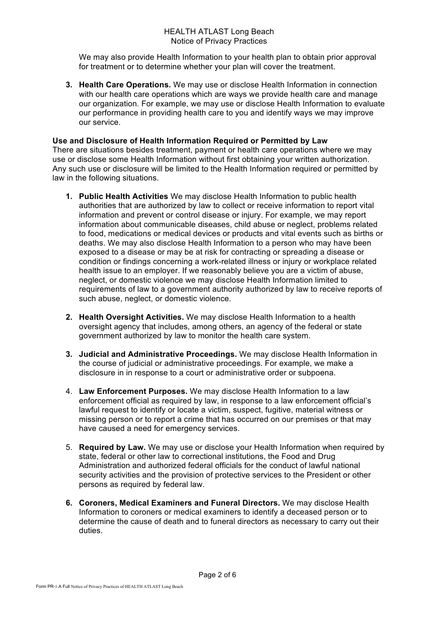We may also provide Health Information to your health plan to obtain prior approval for treatment or to determine whether your plan will cover the treatment.

**3. Health Care Operations.** We may use or disclose Health Information in connection with our health care operations which are ways we provide health care and manage our organization. For example, we may use or disclose Health Information to evaluate our performance in providing health care to you and identify ways we may improve our service.

## **Use and Disclosure of Health Information Required or Permitted by Law**

There are situations besides treatment, payment or health care operations where we may use or disclose some Health Information without first obtaining your written authorization. Any such use or disclosure will be limited to the Health Information required or permitted by law in the following situations.

- **1. Public Health Activities** We may disclose Health Information to public health authorities that are authorized by law to collect or receive information to report vital information and prevent or control disease or injury. For example, we may report information about communicable diseases, child abuse or neglect, problems related to food, medications or medical devices or products and vital events such as births or deaths. We may also disclose Health Information to a person who may have been exposed to a disease or may be at risk for contracting or spreading a disease or condition or findings concerning a work-related illness or injury or workplace related health issue to an employer. If we reasonably believe you are a victim of abuse, neglect, or domestic violence we may disclose Health Information limited to requirements of law to a government authority authorized by law to receive reports of such abuse, neglect, or domestic violence.
- **2. Health Oversight Activities.** We may disclose Health Information to a health oversight agency that includes, among others, an agency of the federal or state government authorized by law to monitor the health care system.
- **3. Judicial and Administrative Proceedings.** We may disclose Health Information in the course of judicial or administrative proceedings. For example, we make a disclosure in in response to a court or administrative order or subpoena.
- 4. **Law Enforcement Purposes.** We may disclose Health Information to a law enforcement official as required by law, in response to a law enforcement official's lawful request to identify or locate a victim, suspect, fugitive, material witness or missing person or to report a crime that has occurred on our premises or that may have caused a need for emergency services.
- 5. **Required by Law.** We may use or disclose your Health Information when required by state, federal or other law to correctional institutions, the Food and Drug Administration and authorized federal officials for the conduct of lawful national security activities and the provision of protective services to the President or other persons as required by federal law.
- **6. Coroners, Medical Examiners and Funeral Directors.** We may disclose Health Information to coroners or medical examiners to identify a deceased person or to determine the cause of death and to funeral directors as necessary to carry out their duties.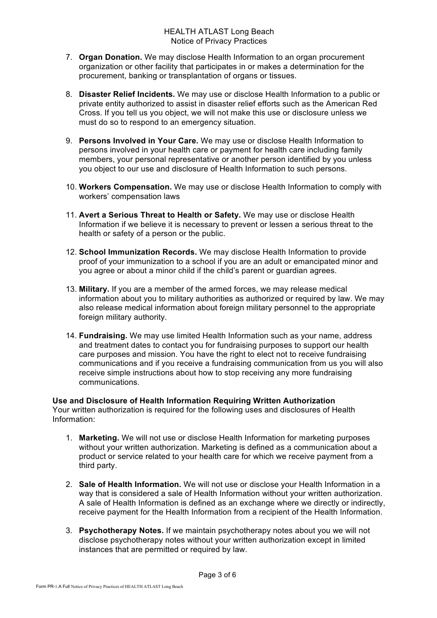- 7. **Organ Donation.** We may disclose Health Information to an organ procurement organization or other facility that participates in or makes a determination for the procurement, banking or transplantation of organs or tissues.
- 8. **Disaster Relief Incidents.** We may use or disclose Health Information to a public or private entity authorized to assist in disaster relief efforts such as the American Red Cross. If you tell us you object, we will not make this use or disclosure unless we must do so to respond to an emergency situation.
- 9. **Persons Involved in Your Care.** We may use or disclose Health Information to persons involved in your health care or payment for health care including family members, your personal representative or another person identified by you unless you object to our use and disclosure of Health Information to such persons.
- 10. **Workers Compensation.** We may use or disclose Health Information to comply with workers' compensation laws
- 11. **Avert a Serious Threat to Health or Safety.** We may use or disclose Health Information if we believe it is necessary to prevent or lessen a serious threat to the health or safety of a person or the public.
- 12. **School Immunization Records.** We may disclose Health Information to provide proof of your immunization to a school if you are an adult or emancipated minor and you agree or about a minor child if the child's parent or guardian agrees.
- 13. **Military.** If you are a member of the armed forces, we may release medical information about you to military authorities as authorized or required by law. We may also release medical information about foreign military personnel to the appropriate foreign military authority.
- 14. **Fundraising.** We may use limited Health Information such as your name, address and treatment dates to contact you for fundraising purposes to support our health care purposes and mission. You have the right to elect not to receive fundraising communications and if you receive a fundraising communication from us you will also receive simple instructions about how to stop receiving any more fundraising communications.

**Use and Disclosure of Health Information Requiring Written Authorization** Your written authorization is required for the following uses and disclosures of Health Information:

- 1. **Marketing.** We will not use or disclose Health Information for marketing purposes without your written authorization. Marketing is defined as a communication about a product or service related to your health care for which we receive payment from a third party.
- 2. **Sale of Health Information.** We will not use or disclose your Health Information in a way that is considered a sale of Health Information without your written authorization. A sale of Health Information is defined as an exchange where we directly or indirectly, receive payment for the Health Information from a recipient of the Health Information.
- 3. **Psychotherapy Notes.** If we maintain psychotherapy notes about you we will not disclose psychotherapy notes without your written authorization except in limited instances that are permitted or required by law.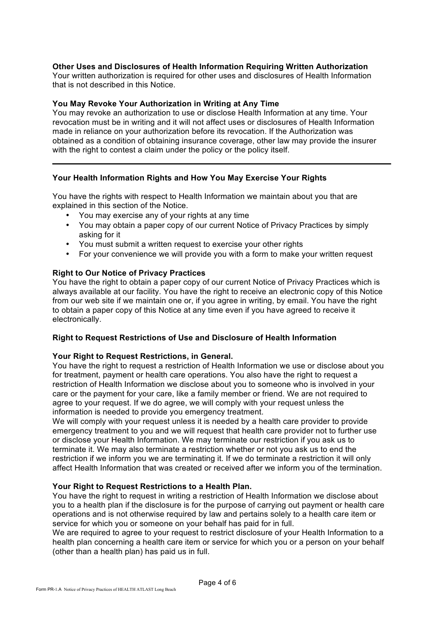# **Other Uses and Disclosures of Health Information Requiring Written Authorization**

Your written authorization is required for other uses and disclosures of Health Information that is not described in this Notice.

### **You May Revoke Your Authorization in Writing at Any Time**

You may revoke an authorization to use or disclose Health Information at any time. Your revocation must be in writing and it will not affect uses or disclosures of Health Information made in reliance on your authorization before its revocation. If the Authorization was obtained as a condition of obtaining insurance coverage, other law may provide the insurer with the right to contest a claim under the policy or the policy itself.

# **Your Health Information Rights and How You May Exercise Your Rights**

You have the rights with respect to Health Information we maintain about you that are explained in this section of the Notice.

- You may exercise any of your rights at any time
- You may obtain a paper copy of our current Notice of Privacy Practices by simply asking for it
- You must submit a written request to exercise your other rights
- For your convenience we will provide you with a form to make your written request

## **Right to Our Notice of Privacy Practices**

You have the right to obtain a paper copy of our current Notice of Privacy Practices which is always available at our facility. You have the right to receive an electronic copy of this Notice from our web site if we maintain one or, if you agree in writing, by email. You have the right to obtain a paper copy of this Notice at any time even if you have agreed to receive it electronically.

#### **Right to Request Restrictions of Use and Disclosure of Health Information**

#### **Your Right to Request Restrictions, in General.**

You have the right to request a restriction of Health Information we use or disclose about you for treatment, payment or health care operations. You also have the right to request a restriction of Health Information we disclose about you to someone who is involved in your care or the payment for your care, like a family member or friend. We are not required to agree to your request. If we do agree, we will comply with your request unless the information is needed to provide you emergency treatment.

We will comply with your request unless it is needed by a health care provider to provide emergency treatment to you and we will request that health care provider not to further use or disclose your Health Information. We may terminate our restriction if you ask us to terminate it. We may also terminate a restriction whether or not you ask us to end the restriction if we inform you we are terminating it. If we do terminate a restriction it will only affect Health Information that was created or received after we inform you of the termination.

### **Your Right to Request Restrictions to a Health Plan.**

You have the right to request in writing a restriction of Health Information we disclose about you to a health plan if the disclosure is for the purpose of carrying out payment or health care operations and is not otherwise required by law and pertains solely to a health care item or service for which you or someone on your behalf has paid for in full.

We are required to agree to your request to restrict disclosure of your Health Information to a health plan concerning a health care item or service for which you or a person on your behalf (other than a health plan) has paid us in full.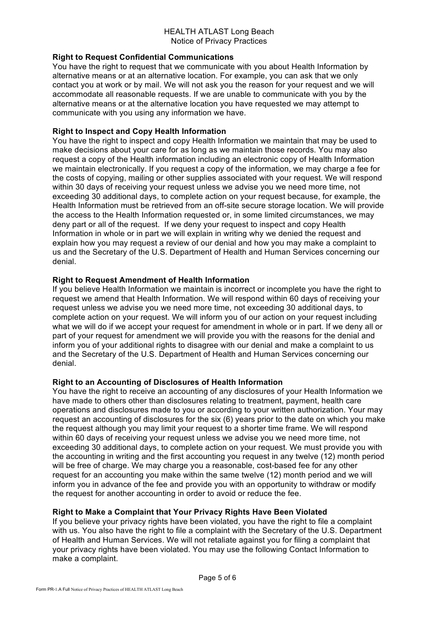## HEALTH ATLAST Long Beach Notice of Privacy Practices

# **Right to Request Confidential Communications**

You have the right to request that we communicate with you about Health Information by alternative means or at an alternative location. For example, you can ask that we only contact you at work or by mail. We will not ask you the reason for your request and we will accommodate all reasonable requests. If we are unable to communicate with you by the alternative means or at the alternative location you have requested we may attempt to communicate with you using any information we have.

# **Right to Inspect and Copy Health Information**

You have the right to inspect and copy Health Information we maintain that may be used to make decisions about your care for as long as we maintain those records. You may also request a copy of the Health information including an electronic copy of Health Information we maintain electronically. If you request a copy of the information, we may charge a fee for the costs of copying, mailing or other supplies associated with your request. We will respond within 30 days of receiving your request unless we advise you we need more time, not exceeding 30 additional days, to complete action on your request because, for example, the Health Information must be retrieved from an off-site secure storage location. We will provide the access to the Health Information requested or, in some limited circumstances, we may deny part or all of the request. If we deny your request to inspect and copy Health Information in whole or in part we will explain in writing why we denied the request and explain how you may request a review of our denial and how you may make a complaint to us and the Secretary of the U.S. Department of Health and Human Services concerning our denial.

# **Right to Request Amendment of Health Information**

If you believe Health Information we maintain is incorrect or incomplete you have the right to request we amend that Health Information. We will respond within 60 days of receiving your request unless we advise you we need more time, not exceeding 30 additional days, to complete action on your request. We will inform you of our action on your request including what we will do if we accept your request for amendment in whole or in part. If we deny all or part of your request for amendment we will provide you with the reasons for the denial and inform you of your additional rights to disagree with our denial and make a complaint to us and the Secretary of the U.S. Department of Health and Human Services concerning our denial.

# **Right to an Accounting of Disclosures of Health Information**

You have the right to receive an accounting of any disclosures of your Health Information we have made to others other than disclosures relating to treatment, payment, health care operations and disclosures made to you or according to your written authorization. Your may request an accounting of disclosures for the six (6) years prior to the date on which you make the request although you may limit your request to a shorter time frame. We will respond within 60 days of receiving your request unless we advise you we need more time, not exceeding 30 additional days, to complete action on your request. We must provide you with the accounting in writing and the first accounting you request in any twelve (12) month period will be free of charge. We may charge you a reasonable, cost-based fee for any other request for an accounting you make within the same twelve (12) month period and we will inform you in advance of the fee and provide you with an opportunity to withdraw or modify the request for another accounting in order to avoid or reduce the fee.

# **Right to Make a Complaint that Your Privacy Rights Have Been Violated**

If you believe your privacy rights have been violated, you have the right to file a complaint with us. You also have the right to file a complaint with the Secretary of the U.S. Department of Health and Human Services. We will not retaliate against you for filing a complaint that your privacy rights have been violated. You may use the following Contact Information to make a complaint.